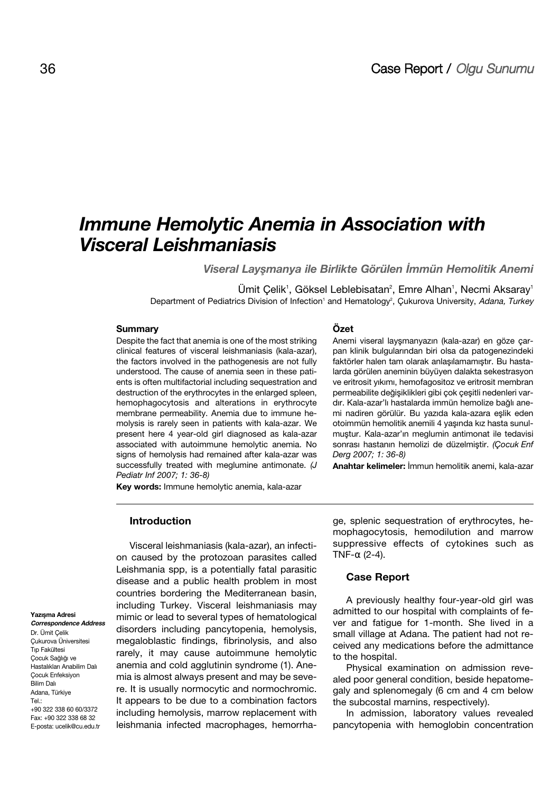# **Immune Hemolytic Anemia in Association with Visceral Leishmaniasis**

**Viseral Laysmanya ile Birlikte Görülen İmmün Hemolitik Anemi** 

Ümit Çelik<sup>1</sup>, Göksel Leblebisatan<sup>2</sup>, Emre Alhan<sup>1</sup>, Necmi Aksaray<sup>1</sup> Department of Pediatrics Division of Infection<sup>1</sup> and Hematology<sup>2</sup>, Çukurova University, Adana, Turkey

### **Summary**

Despite the fact that anemia is one of the most striking clinical features of visceral leishmaniasis (kala-azar), the factors involved in the pathogenesis are not fully understood. The cause of anemia seen in these patients is often multifactorial including sequestration and destruction of the erythrocytes in the enlarged spleen, hemophagocytosis and alterations in erythrocyte membrane permeability. Anemia due to immune hemolysis is rarely seen in patients with kala-azar. We present here 4 year-old girl diagnosed as kala-azar associated with autoimmune hemolytic anemia. No signs of hemolysis had remained after kala-azar was successfully treated with meglumine antimonate. (J Pediatr Inf 2007; 1: 36-8)

**Key words:** Immune hemolytic anemia, kala-azar

#### **Introduction**

Visceral leishmaniasis (kala-azar), an infection caused by the protozoan parasites called Leishmania spp, is a potentially fatal parasitic disease and a public health problem in most countries bordering the Mediterranean basin, including Turkey. Visceral leishmaniasis may mimic or lead to several types of hematological disorders including pancytopenia, hemolysis, megaloblastic findings, fibrinolysis, and also rarely, it may cause autoimmune hemolytic anemia and cold agglutinin syndrome (1). Anemia is almost always present and may be severe. It is usually normocytic and normochromic. It appears to be due to a combination factors including hemolysis, marrow replacement with leishmania infected macrophages, hemorrha**Özet** 

Anemi viseral layşmanyazın (kala-azar) en göze çarpan klinik bulgularından biri olsa da patogenezindeki faktörler halen tam olarak anlaşılamamıştır. Bu hastalarda görülen aneminin büyüyen dalakta sekestrasyon ve eritrosit yıkımı, hemofagositoz ve eritrosit membran permeabilite değişiklikleri gibi çok çeşitli nedenleri vardır. Kala-azar'lı hastalarda immün hemolize bağlı anemi nadiren görülür. Bu yazıda kala-azara eşlik eden otoimmün hemolitik anemili 4 yaşında kız hasta sunulmuştur. Kala-azar'ın meglumin antimonat ile tedavisi sonrası hastanın hemolizi de düzelmiştir. (Cocuk Enf Derg 2007; 1: 36-8)

Anahtar kelimeler: İmmun hemolitik anemi, kala-azar

ge, splenic sequestration of erythrocytes, hemophagocytosis, hemodilution and marrow suppressive effects of cytokines such as TNF- $\alpha$  (2-4).

### **Case Report**

A previously healthy four-year-old girl was admitted to our hospital with complaints of fever and fatigue for 1-month. She lived in a small village at Adana. The patient had not received any medications before the admittance to the hospital.

Physical examination on admission revealed poor general condition, beside hepatomegaly and splenomegaly (6 cm and 4 cm below the subcostal marnins, respectively).

In admission, laboratory values revealed pancytopenia with hemoglobin concentration

**Yazısma Adresi** 

**11** E-posta: ucelik@cu.edu.tr **Correspondence Address** Dr. Ümit Çelik Çukurova Üniversitesi **Tip Fakültesi** Çocuk Sağlığı ve Hastalıkları Anabilim Dalı Çocuk Enfeksiyon **Bilim Dalı** Adana, Türkiye Tel.: +90 322 338 60 60/3372 Fax: +90 322 338 68 32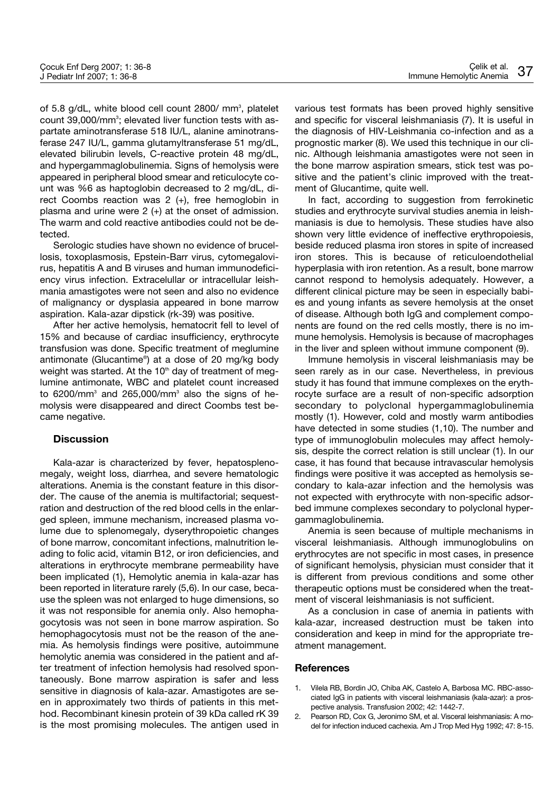of 5.8 g/dL, white blood cell count 2800/ mm<sup>3</sup>, platelet count 39,000/mm<sup>3</sup>; elevated liver function tests with aspartate aminotransferase 518 IU/L, alanine aminotransferase 247 IU/L, gamma glutamyltransferase 51 mg/dL, elevated bilirubin levels, C-reactive protein 48 mg/dL, and hypergammaglobulinemia. Signs of hemolysis were appeared in peripheral blood smear and reticulocyte count was %6 as haptoglobin decreased to 2 mg/dL, direct Coombs reaction was 2 (+), free hemoglobin in plasma and urine were 2 (+) at the onset of admission. The warm and cold reactive antibodies could not be detected.

Serologic studies have shown no evidence of brucellosis, toxoplasmosis, Epstein-Barr virus, cytomegalovirus, hepatitis A and B viruses and human immunodeficiency virus infection. Extracelullar or intracellular leishmania amastigotes were not seen and also no evidence of malignancy or dysplasia appeared in bone marrow aspiration. Kala-azar dipstick (rk-39) was positive.

After her active hemolysis, hematocrit fell to level of 15% and because of cardiac insufficiency, erythrocyte transfusion was done. Specific treatment of meglumine antimonate (Glucantime® ) at a dose of 20 mg/kg body weight was started. At the 10<sup>th</sup> day of treatment of meglumine antimonate, WBC and platelet count increased to  $6200/\text{mm}^3$  and  $265,000/\text{mm}^3$  also the signs of hemolysis were disappeared and direct Coombs test became negative.

## **Discussion**

Kala-azar is characterized by fever, hepatosplenomegaly, weight loss, diarrhea, and severe hematologic alterations. Anemia is the constant feature in this disorder. The cause of the anemia is multifactorial; sequestration and destruction of the red blood cells in the enlarged spleen, immune mechanism, increased plasma volume due to splenomegaly, dyserythropoietic changes of bone marrow, concomitant infections, malnutrition leading to folic acid, vitamin B12, or iron deficiencies, and alterations in erythrocyte membrane permeability have been implicated (1), Hemolytic anemia in kala-azar has been reported in literature rarely (5,6). In our case, because the spleen was not enlarged to huge dimensions, so it was not responsible for anemia only. Also hemophagocytosis was not seen in bone marrow aspiration. So hemophagocytosis must not be the reason of the anemia. As hemolysis findings were positive, autoimmune hemolytic anemia was considered in the patient and after treatment of infection hemolysis had resolved spontaneously. Bone marrow aspiration is safer and less sensitive in diagnosis of kala-azar. Amastigotes are seen in approximately two thirds of patients in this method. Recombinant kinesin protein of 39 kDa called rK 39 is the most promising molecules. The antigen used in various test formats has been proved highly sensitive and specific for visceral leishmaniasis (7). It is useful in the diagnosis of HIV-Leishmania co-infection and as a prognostic marker (8). We used this technique in our clinic. Although leishmania amastigotes were not seen in the bone marrow aspiration smears, stick test was positive and the patient's clinic improved with the treatment of Glucantime, quite well.

In fact, according to suggestion from ferrokinetic studies and erythrocyte survival studies anemia in leishmaniasis is due to hemolysis. These studies have also shown very little evidence of ineffective erythropoiesis, beside reduced plasma iron stores in spite of increased iron stores. This is because of reticuloendothelial hyperplasia with iron retention. As a result, bone marrow cannot respond to hemolysis adequately. However, a different clinical picture may be seen in especially babies and young infants as severe hemolysis at the onset of disease. Although both IgG and complement components are found on the red cells mostly, there is no immune hemolysis. Hemolysis is because of macrophages in the liver and spleen without immune component (9).

Immune hemolysis in visceral leishmaniasis may be seen rarely as in our case. Nevertheless, in previous study it has found that immune complexes on the erythrocyte surface are a result of non-specific adsorption secondary to polyclonal hypergammaglobulinemia mostly (1). However, cold and mostly warm antibodies have detected in some studies (1,10). The number and type of immunoglobulin molecules may affect hemolysis, despite the correct relation is still unclear (1). In our case, it has found that because intravascular hemolysis findings were positive it was accepted as hemolysis secondary to kala-azar infection and the hemolysis was not expected with erythrocyte with non-specific adsorbed immune complexes secondary to polyclonal hypergammaglobulinemia.

Anemia is seen because of multiple mechanisms in visceral leishmaniasis. Although immunoglobulins on erythrocytes are not specific in most cases, in presence of significant hemolysis, physician must consider that it is different from previous conditions and some other therapeutic options must be considered when the treatment of visceral leishmaniasis is not sufficient.

As a conclusion in case of anemia in patients with kala-azar, increased destruction must be taken into consideration and keep in mind for the appropriate treatment management.

### **References**

- 1. Vilela RB, Bordin JO, Chiba AK, Castelo A, Barbosa MC. RBC-associated IgG in patients with visceral leishmaniasis (kala-azar): a prospective analysis. Transfusion 2002; 42: 1442-7.
- 2. Pearson RD, Cox G, Jeronimo SM, et al. Visceral leishmaniasis: A model for infection induced cachexia. Am J Trop Med Hyg 1992; 47: 8-15.